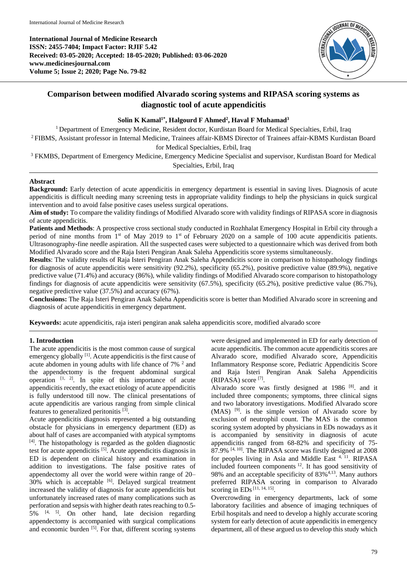

# **Comparison between modified Alvarado scoring systems and RIPASA scoring systems as diagnostic tool of acute appendicitis**

## **Solin K Kamal1\* , Halgourd F Ahmed<sup>2</sup> , Haval F Muhamad<sup>3</sup>**

<sup>1</sup> Department of Emergency Medicine, Resident doctor, Kurdistan Board for Medical Specialties, Erbil, Iraq <sup>2</sup>FIBMS, Assistant professor in Internal Medicine, Trainees affair-KBMS Director of Trainees affair-KBMS Kurdistan Board for Medical Specialties, Erbil, Iraq

<sup>3</sup> FKMBS, Department of Emergency Medicine, Emergency Medicine Specialist and supervisor, Kurdistan Board for Medical Specialties, Erbil, Iraq

## **Abstract**

**Background:** Early detection of acute appendicitis in emergency department is essential in saving lives. Diagnosis of acute appendicitis is difficult needing many screening tests in appropriate validity findings to help the physicians in quick surgical intervention and to avoid false positive cases useless surgical operations.

**Aim of study:** To compare the validity findings of Modified Alvarado score with validity findings of RIPASA score in diagnosis of acute appendicitis.

**Patients and Methods**: A prospective cross sectional study conducted in Rozhhalat Emergency Hospital in Erbil city through a period of nine months from 1<sup>st</sup> of May 2019 to 1<sup>st</sup> of February 2020 on a sample of 100 acute appendicitis patients. Ultrasonography-fine needle aspiration. All the suspected cases were subjected to a questionnaire which was derived from both Modified Alvarado score and the Raja Isteri Pengiran Anak Saleha Appendicitis score systems simultaneously.

**Results**: The validity results of Raja Isteri Pengiran Anak Saleha Appendicitis score in comparison to histopathology findings for diagnosis of acute appendicitis were sensitivity (92.2%), specificity (65.2%), positive predictive value (89.9%), negative predictive value (71.4%) and accuracy (86%), while validity findings of Modified Alvarado score comparison to histopathology findings for diagnosis of acute appendicitis were sensitivity (67.5%), specificity (65.2%), positive predictive value (86.7%), negative predictive value (37.5%) and accuracy (67%).

**Conclusions:** The Raja Isteri Pengiran Anak Saleha Appendicitis score is better than Modified Alvarado score in screening and diagnosis of acute appendicitis in emergency department.

**Keywords:** acute appendicitis, raja isteri pengiran anak saleha appendicitis score, modified alvarado score

## **1. Introduction**

The acute appendicitis is the most common cause of surgical emergency globally [1]. Acute appendicitis is the first cause of acute abdomen in young adults with life chance of  $7\%$   $^2$  and the appendectomy is the frequent abdominal surgical operation  $[1, 2]$ . In spite of this importance of acute appendicitis recently, the exact etiology of acute appendicitis is fully understood till now. The clinical presentations of acute appendicitis are various ranging from simple clinical features to generalized peritonitis<sup>[3]</sup>.

Acute appendicitis diagnosis represented a big outstanding obstacle for physicians in emergency department (ED) as about half of cases are accompanied with atypical symptoms [4] . The histopathology is regarded as the golden diagnostic test for acute appendicitis [5] . Acute appendicitis diagnosis in ED is dependent on clinical history and examination in addition to investigations. The false positive rates of appendectomy all over the world were within range of 20– 30% which is acceptable <sup>[6]</sup>. Delayed surgical treatment increased the validity of diagnosis for acute appendicitis but unfortunately increased rates of many complications such as perforation and sepsis with higher death rates reaching to 0.5-  $5\%$  <sup>[4, 5]</sup>. On other hand, late decision regarding appendectomy is accompanied with surgical complications and economic burden [5]. For that, different scoring systems

were designed and implemented in ED for early detection of acute appendicitis. The common acute appendicitis scores are Alvarado score, modified Alvarado score, Appendicitis Inflammatory Response score, Pediatric Appendicitis Score and Raja Isteri Pengiran Anak Saleha Appendicitis (RIPASA) score [7] .

Alvarado score was firstly designed at 1986<sup>[8]</sup>. and it included three components; symptoms, three clinical signs and two laboratory investigations. Modified Alvarado score (MAS) [9] . is the simple version of Alvarado score by exclusion of neutrophil count. The MAS is the common scoring system adopted by physicians in EDs nowadays as it is accompanied by sensitivity in diagnosis of acute appendicitis ranged from 68-82% and specificity of 75- 87.9% <sup>[4, 10]</sup>. The RIPASA score was firstly designed at 2008 for peoples living in Asia and Middle East 4, 11. RIPASA included fourteen components <sup>12</sup>. It has good sensitivity of 98% and an acceptable specificity of 83%<sup>4,13</sup>. Many authors preferred RIPASA scoring in comparison to Alvarado scoring in EDs<sup>[11, 14, 15]</sup>.

Overcrowding in emergency departments, lack of some laboratory facilities and absence of imaging techniques of Erbil hospitals and need to develop a highly accurate scoring system for early detection of acute appendicitis in emergency department, all of these argued us to develop this study which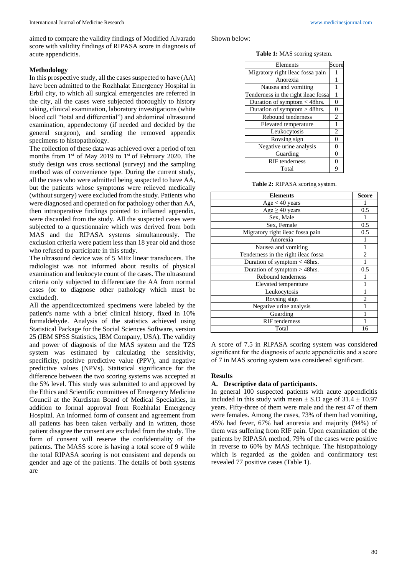aimed to compare the validity findings of Modified Alvarado score with validity findings of RIPASA score in diagnosis of acute appendicitis.

### **Methodology**

In this prospective study, all the cases suspected to have (AA) have been admitted to the Rozhhalat Emergency Hospital in Erbil city, to which all surgical emergencies are referred in the city, all the cases were subjected thoroughly to history taking, clinical examination, laboratory investigations (white blood cell "total and differential") and abdominal ultrasound examination, appendectomy (if needed and decided by the general surgeon), and sending the removed appendix specimens to histopathology.

The collection of these data was achieved over a period of ten months from 1<sup>st</sup> of May 2019 to 1<sup>st</sup> of February 2020. The study design was cross sectional (survey) and the sampling method was of convenience type. During the current study, all the cases who were admitted being suspected to have AA, but the patients whose symptoms were relieved medically (without surgery) were excluded from the study. Patients who were diagnosed and operated on for pathology other than AA, then intraoperative findings pointed to inflamed appendix, were discarded from the study. All the suspected cases were subjected to a questionnaire which was derived from both MAS and the RIPASA systems simultaneously. The exclusion criteria were patient less than 18 year old and those who refused to participate in this study.

The ultrasound device was of 5 MHz linear transducers. The radiologist was not informed about results of physical examination and leukocyte count of the cases. The ultrasound criteria only subjected to differentiate the AA from normal cases (or to diagnose other pathology which must be excluded).

All the appendicectomized specimens were labeled by the patient's name with a brief clinical history, fixed in 10% formaldehyde. Analysis of the statistics achieved using Statistical Package for the Social Sciences Software, version 25 (IBM SPSS Statistics, IBM Company, USA). The validity and power of diagnosis of the MAS system and the TZS system was estimated by calculating the sensitivity, specificity, positive predictive value (PPV), and negative predictive values (NPVs). Statistical significance for the difference between the two scoring systems was accepted at the 5% level. This study was submitted to and approved by the Ethics and Scientific committees of Emergency Medicine Council at the Kurdistan Board of Medical Specialties, in addition to formal approval from Rozhhalat Emergency Hospital. An informed form of consent and agreement from all patients has been taken verbally and in written, those patient disagree the consent are excluded from the study. The form of consent will reserve the confidentiality of the patients. The MASS score is having a total score of 9 while the total RIPASA scoring is not consistent and depends on gender and age of the patients. The details of both systems are

Shown below:

**Table 1:** MAS scoring system.

| Score<br>Elements                   |                |
|-------------------------------------|----------------|
| Migratory right ileac fossa pain    |                |
| Anorexia                            | 1              |
| Nausea and vomiting                 |                |
| Tenderness in the right ileac fossa | 1              |
| Duration of symptom < 48hrs.        | 0              |
| Duration of symptom > 48hrs.        | 0              |
| Rebound tenderness                  | $\overline{c}$ |
| Elevated temperature                | $\mathbf{1}$   |
| Leukocytosis                        | $\overline{2}$ |
| Rovsing sign                        | $\Omega$       |
| Negative urine analysis             | $\theta$       |
| Guarding                            | $\Omega$       |
| <b>RIF</b> tenderness               | $\Omega$       |
| Total                               | q              |

**Table 2:** RIPASA scoring system.

| <b>Elements</b>                     | <b>Score</b>   |
|-------------------------------------|----------------|
| Age < 40 years                      |                |
| $Age \geq 40 years$                 | 0.5            |
| Sex, Male                           |                |
| Sex, Female                         | 0.5            |
| Migratory right ileac fossa pain    | 0.5            |
| Anorexia                            |                |
| Nausea and vomiting                 |                |
| Tenderness in the right ileac fossa | $\overline{c}$ |
| Duration of symptom $<$ 48hrs.      |                |
| Duration of symptom > 48hrs.        | 0.5            |
| Rebound tenderness                  |                |
| Elevated temperature                |                |
| Leukocytosis                        |                |
| Rovsing sign                        | $\overline{c}$ |
| Negative urine analysis             |                |
| Guarding                            |                |
| <b>RIF</b> tenderness               |                |
| Total                               | 16             |

A score of 7.5 in RIPASA scoring system was considered significant for the diagnosis of acute appendicitis and a score of 7 in MAS scoring system was considered significant.

### **Results**

### **A. Descriptive data of participants.**

In general 100 suspected patients with acute appendicitis included in this study with mean  $\pm$  S.D age of 31.4  $\pm$  10.97 years. Fifty-three of them were male and the rest 47 of them were females. Among the cases, 73% of them had vomiting, 45% had fever, 67% had anorexia and majority (94%) of them was suffering from RIF pain. Upon examination of the patients by RIPASA method, 79% of the cases were positive in reverse to 60% by MAS technique. The histopathology which is regarded as the golden and confirmatory test revealed 77 positive cases (Table 1).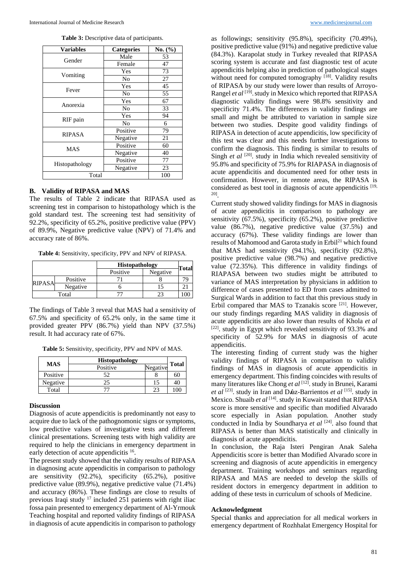**Table 3:** Descriptive data of participants.

| <b>Variables</b> | <b>Categories</b> | No. $(\% )$ |
|------------------|-------------------|-------------|
| Gender           | Male              | 53          |
|                  | Female            | 47          |
|                  | Yes               | 73          |
| Vomiting         | N <sub>0</sub>    | 27          |
| Fever            | Yes               | 45          |
|                  | N <sub>0</sub>    | 55          |
|                  | Yes               | 67          |
| Anorexia         | No                | 33          |
| RIF pain         | Yes               | 94          |
|                  | No                | 6           |
| <b>RIPASA</b>    | Positive          | 79          |
|                  | Negative          | 21          |
| <b>MAS</b>       | Positive          | 60          |
|                  | Negative          | 40          |
| Histopathology   | Positive          | 77          |
|                  | Negative          | $23\,$      |
| Total            |                   | 100         |

#### **B. Validity of RIPASA and MAS**

The results of Table 2 indicate that RIPASA used as screening test in comparison to histopathology which is the gold standard test. The screening test had sensitivity of 92.2%, specificity of 65.2%, positive predictive value (PPV) of 89.9%, Negative predictive value (NPV) of 71.4% and accuracy rate of 86%.

**Table 4:** Sensitivity, specificity, PPV and NPV of RIPASA.

|               |          | Histopathology |          | <b>Total</b> |
|---------------|----------|----------------|----------|--------------|
|               |          | Positive       | Negative |              |
| <b>RIPASA</b> | Positive |                |          |              |
|               | Negative |                |          |              |
|               | Total    |                |          |              |

The findings of Table 3 reveal that MAS had a sensitivity of 67.5% and specificity of 65.2% only, in the same time it provided greater PPV (86.7%) yield than NPV (37.5%) result. It had accuracy rate of 67%.

**Table 5:** Sensitivity, specificity, PPV and NPV of MAS.

| <b>MAS</b> | <b>Histopathology</b> |          | <b>Total</b> |
|------------|-----------------------|----------|--------------|
|            | Positive              | Negative |              |
| Positive   | 52                    |          | 60           |
| Negative   | 25                    | 15       | 40           |
| Total      |                       |          |              |

#### **Discussion**

Diagnosis of acute appendicitis is predominantly not easy to acquire due to lack of the pathognomonic signs or symptoms, low predictive values of investigative tests and different clinical presentations. Screening tests with high validity are required to help the clinicians in emergency department in early detection of acute appendicitis <sup>16</sup>.

The present study showed that the validity results of RIPASA in diagnosing acute appendicitis in comparison to pathology are sensitivity (92.2%), specificity (65.2%), positive predictive value (89.9%), negative predictive value (71.4%) and accuracy (86%). These findings are close to results of previous Iraqi study <sup>17</sup> included 251 patients with right iliac fossa pain presented to emergency department of Al-Yrmouk Teaching hospital and reported validity findings of RIPASA in diagnosis of acute appendicitis in comparison to pathology

as followings; sensitivity (95.8%), specificity (70.49%), positive predictive value (91%) and negative predictive value (84.3%). Karapolat study in Turkey revealed that RIPASA scoring system is accurate and fast diagnostic test of acute appendicitis helping also in prediction of pathological stages without need for computed tomography [18]. Validity results of RIPASA by our study were lower than results of Arroyo-Rangel et al<sup>[19]</sup>. study in Mexico which reported that RIPASA diagnostic validity findings were 98.8% sensitivity and specificity 71.4%. The differences in validity findings are small and might be attributed to variation in sample size between two studies. Despite good validity findings of RIPASA in detection of acute appendicitis, low specificity of this test was clear and this needs further investigations to confirm the diagnosis. This finding is similar to results of Singh *et al* <sup>[20]</sup>. study in India which revealed sensitivity of 95.8% and specificity of 75.9% for RIAPASA in diagnosis of acute appendicitis and documented need for other tests in confirmation. However, in remote areas, the RIPASA is considered as best tool in diagnosis of acute appendicitis [19, 20] .

Current study showed validity findings for MAS in diagnosis of acute appendicitis in comparison to pathology are sensitivity (67.5%), specificity (65.2%), positive predictive value (86.7%), negative predictive value (37.5%) and accuracy (67%). These validity findings are lower than results of Mahomood and Garota study in Erbil<sup>21</sup> which found that MAS had sensitivity (94.1%), specificity (92.8%), positive predictive value (98.7%) and negative predictive value (72.35%). This difference in validity findings of RIAPASA between two studies might be attributed to variance of MAS interpretation by physicians in addition to difference of cases presented to ED from cases admitted to Surgical Wards in addition to fact that this previous study in Erbil compared thar MAS to Tzanakis score [21]. However, our study findings regarding MAS validity in diagnosis of acute appendicitis are also lower than results of Khola *et al* [22]. study in Egypt which revealed sensitivity of 93.3% and specificity of 52.9% for MAS in diagnosis of acute appendicitis.

The interesting finding of current study was the higher validity findings of RIPASA in comparison to validity findings of MAS in diagnosis of acute appendicitis in emergency department. This finding coincides with results of many literatures like Chong et al<sup>[12]</sup>. study in Brunei, Karami *et al* [23] . study in Iran and D**í**az-Barrientos *et al* [15] . study in Mexico. Shuaib et al <a>[14]</a>. study in Kuwait stated that RIPASA score is more sensitive and specific than modified Alvarado score especially in Asian population. Another study conducted in India by Soundharya et al <sup>[24]</sup>. also found that RIPASA is better than MAS statistically and clinically in diagnosis of acute appendicitis.

In conclusion, the Raja Isteri Pengiran Anak Saleha Appendicitis score is better than Modified Alvarado score in screening and diagnosis of acute appendicitis in emergency department. Training workshops and seminars regarding RIPASA and MAS are needed to develop the skills of resident doctors in emergency department in addition to adding of these tests in curriculum of schools of Medicine.

#### **Acknowledgment**

Special thanks and appreciation for all medical workers in emergency department of Rozhhalat Emergency Hospital for